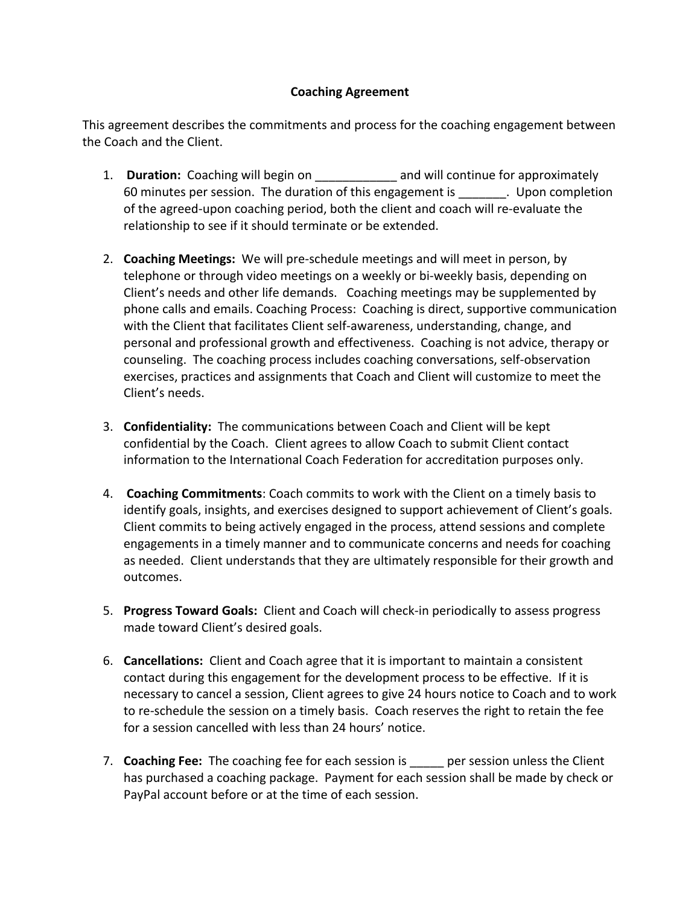## **Coaching Agreement**

This agreement describes the commitments and process for the coaching engagement between the Coach and the Client.

- 1. **Duration:** Coaching will begin on \_\_\_\_\_\_\_\_\_\_\_ and will continue for approximately 60 minutes per session. The duration of this engagement is electron completion of the agreed-upon coaching period, both the client and coach will re-evaluate the relationship to see if it should terminate or be extended.
- 2. **Coaching Meetings:** We will pre-schedule meetings and will meet in person, by telephone or through video meetings on a weekly or bi-weekly basis, depending on Client's needs and other life demands. Coaching meetings may be supplemented by phone calls and emails. Coaching Process: Coaching is direct, supportive communication with the Client that facilitates Client self-awareness, understanding, change, and personal and professional growth and effectiveness. Coaching is not advice, therapy or counseling. The coaching process includes coaching conversations, self-observation exercises, practices and assignments that Coach and Client will customize to meet the Client's needs.
- 3. **Confidentiality:** The communications between Coach and Client will be kept confidential by the Coach. Client agrees to allow Coach to submit Client contact information to the International Coach Federation for accreditation purposes only.
- 4. **Coaching Commitments**: Coach commits to work with the Client on a timely basis to identify goals, insights, and exercises designed to support achievement of Client's goals. Client commits to being actively engaged in the process, attend sessions and complete engagements in a timely manner and to communicate concerns and needs for coaching as needed. Client understands that they are ultimately responsible for their growth and outcomes.
- 5. **Progress Toward Goals:** Client and Coach will check-in periodically to assess progress made toward Client's desired goals.
- 6. **Cancellations:** Client and Coach agree that it is important to maintain a consistent contact during this engagement for the development process to be effective. If it is necessary to cancel a session, Client agrees to give 24 hours notice to Coach and to work to re-schedule the session on a timely basis. Coach reserves the right to retain the fee for a session cancelled with less than 24 hours' notice.
- 7. **Coaching Fee:** The coaching fee for each session is early per session unless the Client has purchased a coaching package. Payment for each session shall be made by check or PayPal account before or at the time of each session.